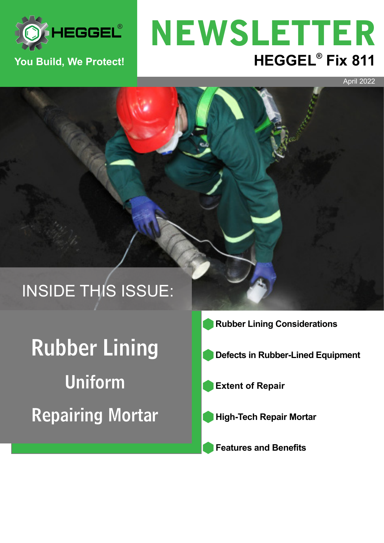

#### **You Build, We Protect!**

# **HEGGEL®** Fix 811 NEWSLETTER

April 2022

# INSIDE THIS ISSUE:

Rubber Lining Uniform Repairing Mortar

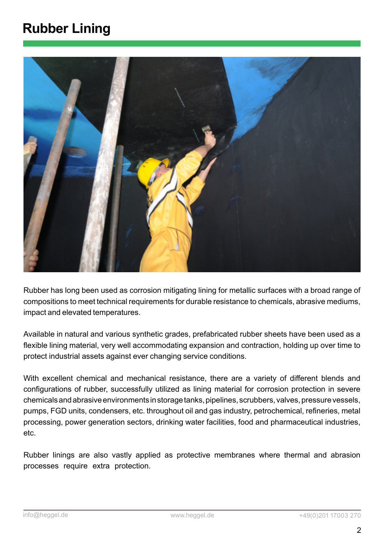#### **Rubber Lining**



Rubber has long been used as corrosion mitigating lining for metallic surfaces with a broad range of compositions to meet technical requirements for durable resistance to chemicals, abrasive mediums, impact and elevated temperatures.

Available in natural and various synthetic grades, prefabricated rubber sheets have been used as a flexible lining material, very well accommodating expansion and contraction, holding up over time to protect industrial assets against ever changing service conditions.

With excellent chemical and mechanical resistance, there are a variety of different blends and configurations of rubber, successfully utilized as lining material for corrosion protection in severe chemicals and abrasive environments in storage tanks, pipelines, scrubbers, valves, pressure vessels, pumps, FGD units, condensers, etc. throughout oil and gas industry, petrochemical, refineries, metal processing, power generation sectors, drinking water facilities, food and pharmaceutical industries, etc.

Rubber linings are also vastly applied as protective membranes where thermal and abrasion processes require extra protection.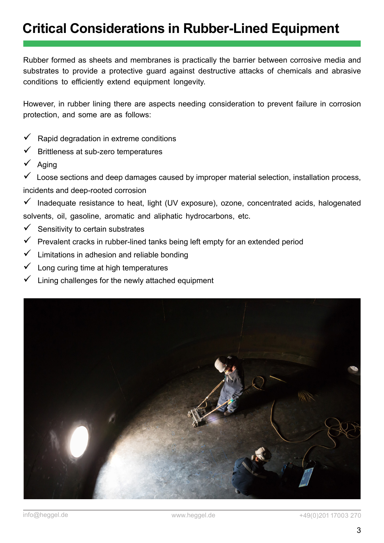#### **Critical Considerations in Rubber-Lined Equipment**

Rubber formed as sheets and membranes is practically the barrier between corrosive media and substrates to provide a protective guard against destructive attacks of chemicals and abrasive conditions to efficiently extend equipment longevity.

However, in rubber lining there are aspects needing consideration to prevent failure in corrosion protection, and some are as follows:

- Rapid degradation in extreme conditions
- Brittleness at sub-zero temperatures
- Aging

 Loose sections and deep damages caused by improper material selection, installation process, incidents and deep-rooted corrosion

 $\checkmark$  Inadequate resistance to heat, light (UV exposure), ozone, concentrated acids, halogenated solvents, oil, gasoline, aromatic and aliphatic hydrocarbons, etc.

- $\checkmark$  Sensitivity to certain substrates
- Prevalent cracks in rubber-lined tanks being left empty for an extended period
- Limitations in adhesion and reliable bonding
- Long curing time at high temperatures
- Lining challenges for the newly attached equipment

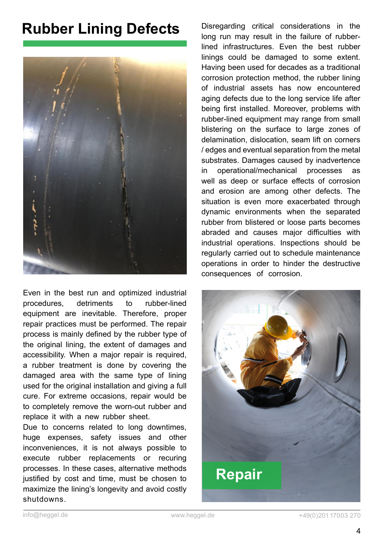#### **Rubber Lining Defects**



Even in the best run and optimized industrial procedures, detriments to rubber-lined equipment are inevitable. Therefore, proper repair practices must be performed. The repair process is mainly defined by the rubber type of the original lining, the extent of damages and accessibility. When a major repair is required, a rubber treatment is done by covering the damaged area with the same type of lining used for the original installation and giving a full cure. For extreme occasions, repair would be to completely remove the worn-out rubber and replace it with a new rubber sheet.

Due to concerns related to long downtimes, huge expenses, safety issues and other inconveniences, it is not always possible to execute rubber replacements or recuring processes. In these cases, alternative methods justified by cost and time, must be chosen to maximize the lining's longevity and avoid costly shutdowns.

Disregarding critical considerations in the long run may result in the failure of rubberlined infrastructures. Even the best rubber linings could be damaged to some extent. Having been used for decades as a traditional corrosion protection method, the rubber lining of industrial assets has now encountered aging defects due to the long service life after being first installed. Moreover, problems with rubber-lined equipment may range from small blistering on the surface to large zones of delamination, dislocation, seam lift on corners / edges and eventual separation from the metal substrates. Damages caused by inadvertence in operational/mechanical processes as well as deep or surface effects of corrosion and erosion are among other defects. The situation is even more exacerbated through dynamic environments when the separated rubber from blistered or loose parts becomes abraded and causes major difficulties with industrial operations. Inspections should be regularly carried out to schedule maintenance operations in order to hinder the destructive consequences of corrosion.

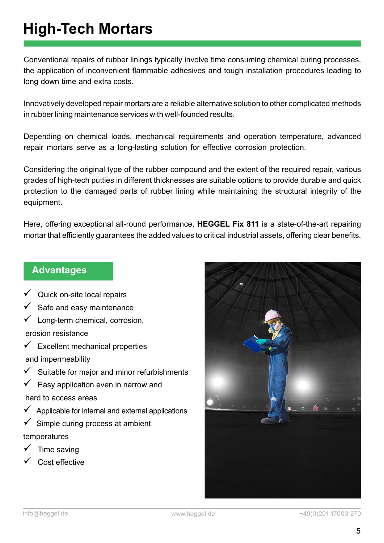### **High-Tech Mortars**

Conventional repairs of rubber linings typically involve time consuming chemical curing processes, the application of inconvenient flammable adhesives and tough installation procedures leading to long down time and extra costs.

Innovatively developed repair mortars are a reliable alternative solution to other complicated methods in rubber lining maintenance services with well-founded results.

Depending on chemical loads, mechanical requirements and operation temperature, advanced repair mortars serve as a long-lasting solution for effective corrosion protection.

Considering the original type of the rubber compound and the extent of the required repair, various grades of high-tech putties in different thicknesses are suitable options to provide durable and quick protection to the damaged parts of rubber lining while maintaining the structural integrity of the equipment.

Here, offering exceptional all-round performance, **HEGGEL Fix 811** is a state-of-the-art repairing mortar that efficiently guarantees the added values to critical industrial assets, offering clear benefits.

#### **Advantages**

- $\checkmark$  Quick on-site local repairs
- Safe and easy maintenance
- Long-term chemical, corrosion, erosion resistance
- $\checkmark$  Excellent mechanical properties and impermeability
- $\checkmark$  Suitable for major and minor refurbishments
- $\checkmark$  Easy application even in narrow and hard to access areas
- $\checkmark$  Applicable for internal and external applications
- $\checkmark$  Simple curing process at ambient temperatures
- Time saving
- Cost effective

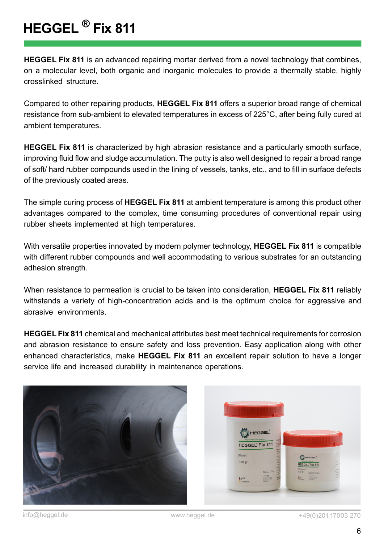## **HEGGEL ® Fix 811**

**HEGGEL Fix 811** is an advanced repairing mortar derived from a novel technology that combines, on a molecular level, both organic and inorganic molecules to provide a thermally stable, highly crosslinked structure.

Compared to other repairing products, **HEGGEL Fix 811** offers a superior broad range of chemical resistance from sub-ambient to elevated temperatures in excess of 225°C, after being fully cured at ambient temperatures.

of soft/ hard rubber compounds used in the lining of vessels, tanks, etc., and to fill in surface defects<br>- f the species should asset all and a **HEGGEL Fix 811** is characterized by high abrasion resistance and a particularly smooth surface, improving fluid flow and sludge accumulation. The putty is also well designed to repair a broad range of the previously coated areas.

The simple curing process of **HEGGEL Fix 811** at ambient temperature is among this product other advantages compared to the complex, time consuming procedures of conventional repair using rubber sheets implemented at high temperatures.

With versatile properties innovated by modern polymer technology, **HEGGEL Fix 811** is compatible with different rubber compounds and well accommodating to various substrates for an outstanding adhesion strength.

When resistance to permeation is crucial to be taken into consideration, **HEGGEL Fix 811** reliably withstands a variety of high-concentration acids and is the optimum choice for aggressive and abrasive environments.

**HEGGEL Fix 811** chemical and mechanical attributes best meet technical requirements for corrosion and abrasion resistance to ensure safety and loss prevention. Easy application along with other enhanced characteristics, make **HEGGEL Fix 811** an excellent repair solution to have a longer service life and increased durability in maintenance operations.